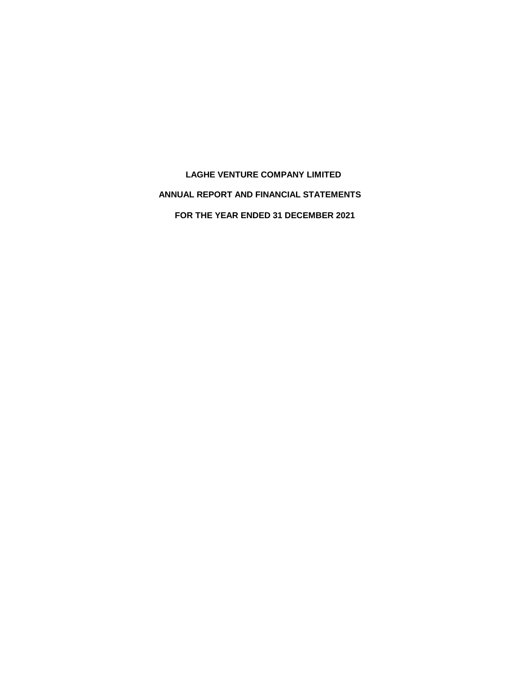**LAGHE VENTURE COMPANY LIMITED ANNUAL REPORT AND FINANCIAL STATEMENTS FOR THE YEAR ENDED 31 DECEMBER 2021**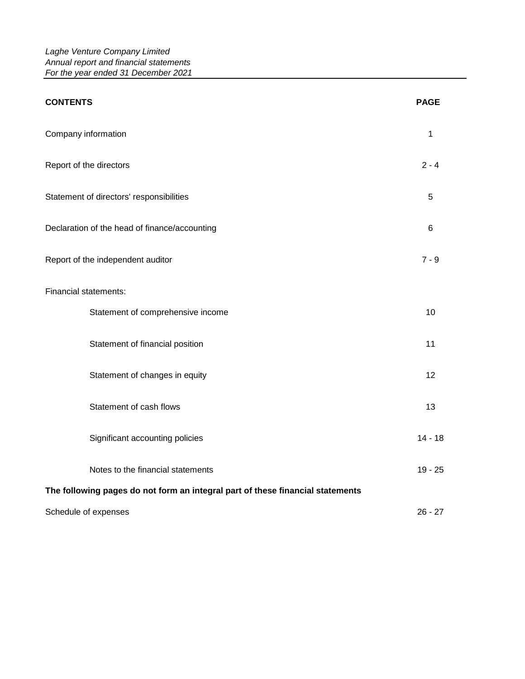| <b>CONTENTS</b>                                                                | <b>PAGE</b>    |
|--------------------------------------------------------------------------------|----------------|
| Company information                                                            | 1              |
| Report of the directors                                                        | $2 - 4$        |
| Statement of directors' responsibilities                                       | 5              |
| Declaration of the head of finance/accounting                                  | $6\phantom{1}$ |
| Report of the independent auditor                                              | $7 - 9$        |
| Financial statements:                                                          |                |
| Statement of comprehensive income                                              | 10             |
| Statement of financial position                                                | 11             |
| Statement of changes in equity                                                 | 12             |
| Statement of cash flows                                                        | 13             |
| Significant accounting policies                                                | $14 - 18$      |
| Notes to the financial statements                                              | $19 - 25$      |
| The following pages do not form an integral part of these financial statements |                |
| Schedule of expenses                                                           | $26 - 27$      |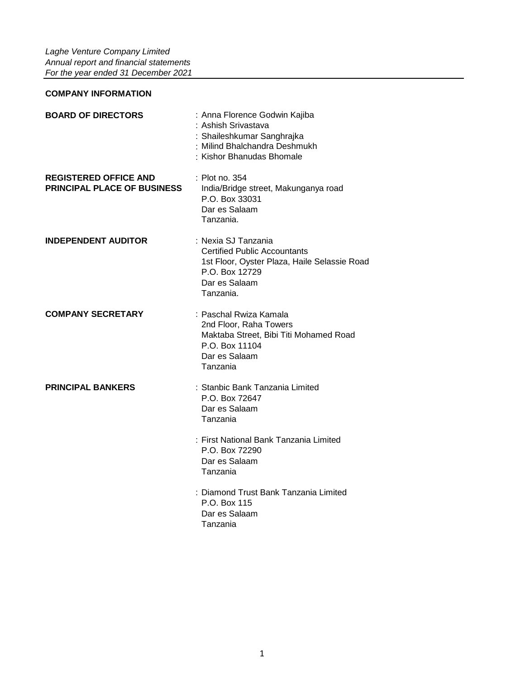# **COMPANY INFORMATION**

| <b>BOARD OF DIRECTORS</b>                                          | : Anna Florence Godwin Kajiba<br>: Ashish Srivastava<br>: Shaileshkumar Sanghrajka<br>: Milind Bhalchandra Deshmukh<br>: Kishor Bhanudas Bhomale           |
|--------------------------------------------------------------------|------------------------------------------------------------------------------------------------------------------------------------------------------------|
| <b>REGISTERED OFFICE AND</b><br><b>PRINCIPAL PLACE OF BUSINESS</b> | : Plot no. 354<br>India/Bridge street, Makunganya road<br>P.O. Box 33031<br>Dar es Salaam<br>Tanzania.                                                     |
| <b>INDEPENDENT AUDITOR</b>                                         | : Nexia SJ Tanzania<br><b>Certified Public Accountants</b><br>1st Floor, Oyster Plaza, Haile Selassie Road<br>P.O. Box 12729<br>Dar es Salaam<br>Tanzania. |
| <b>COMPANY SECRETARY</b>                                           | : Paschal Rwiza Kamala<br>2nd Floor, Raha Towers<br>Maktaba Street, Bibi Titi Mohamed Road<br>P.O. Box 11104<br>Dar es Salaam<br>Tanzania                  |
| <b>PRINCIPAL BANKERS</b>                                           | : Stanbic Bank Tanzania Limited<br>P.O. Box 72647<br>Dar es Salaam<br>Tanzania                                                                             |
|                                                                    | : First National Bank Tanzania Limited<br>P.O. Box 72290<br>Dar es Salaam<br>Tanzania                                                                      |
|                                                                    | : Diamond Trust Bank Tanzania Limited<br>P.O. Box 115<br>Dar es Salaam<br>Tanzania                                                                         |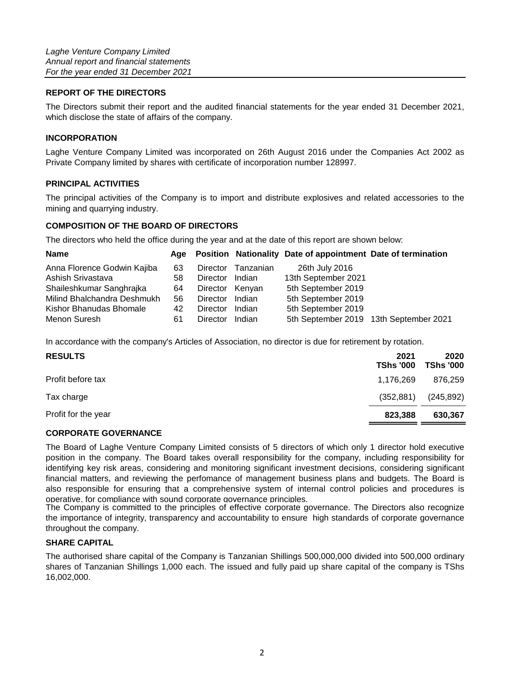# **REPORT OF THE DIRECTORS**

The Directors submit their report and the audited financial statements for the year ended 31 December 2021, which disclose the state of affairs of the company.

## **INCORPORATION**

Laghe Venture Company Limited was incorporated on 26th August 2016 under the Companies Act 2002 as Private Company limited by shares with certificate of incorporation number 128997.

# **PRINCIPAL ACTIVITIES**

The principal activities of the Company is to import and distribute explosives and related accessories to the mining and quarrying industry.

# **COMPOSITION OF THE BOARD OF DIRECTORS**

The directors who held the office during the year and at the date of this report are shown below:

| <b>Name</b>                 | Aae |                 |           | Position Nationality Date of appointment Date of termination |                                        |
|-----------------------------|-----|-----------------|-----------|--------------------------------------------------------------|----------------------------------------|
| Anna Florence Godwin Kajiba | 63  | Director        | Tanzanian | 26th July 2016                                               |                                        |
| Ashish Srivastava           | 58  | Director        | Indian    | 13th September 2021                                          |                                        |
| Shaileshkumar Sanghrajka    | 64  | Director Kenyan |           | 5th September 2019                                           |                                        |
| Milind Bhalchandra Deshmukh | 56  | Director        | Indian    | 5th September 2019                                           |                                        |
| Kishor Bhanudas Bhomale     | 42  | Director        | Indian    | 5th September 2019                                           |                                        |
| Menon Suresh                | 61  | <b>Director</b> | Indian    |                                                              | 5th September 2019 13th September 2021 |

In accordance with the company's Articles of Association, no director is due for retirement by rotation.

| <b>RESULTS</b>      | 2021<br><b>TShs '000</b> | 2020<br>TShs '000 |
|---------------------|--------------------------|-------------------|
| Profit before tax   | 1,176,269                | 876,259           |
| Tax charge          | (352, 881)               | (245, 892)        |
| Profit for the year | 823,388                  | 630,367           |

## **CORPORATE GOVERNANCE**

The Board of Laghe Venture Company Limited consists of 5 directors of which only 1 director hold executive position in the company. The Board takes overall responsibility for the company, including responsibility for identifying key risk areas, considering and monitoring significant investment decisions, considering significant financial matters, and reviewing the perfomance of management business plans and budgets. The Board is also responsible for ensuring that a comprehensive system of internal control policies and procedures is operative, for compliance with sound corporate governance principles.

The Company is committed to the principles of effective corporate governance. The Directors also recognize the importance of integrity, transparency and accountability to ensure high standards of corporate governance throughout the company.

# **SHARE CAPITAL**

The authorised share capital of the Company is Tanzanian Shillings 500,000,000 divided into 500,000 ordinary shares of Tanzanian Shillings 1,000 each. The issued and fully paid up share capital of the company is TShs 16,002,000.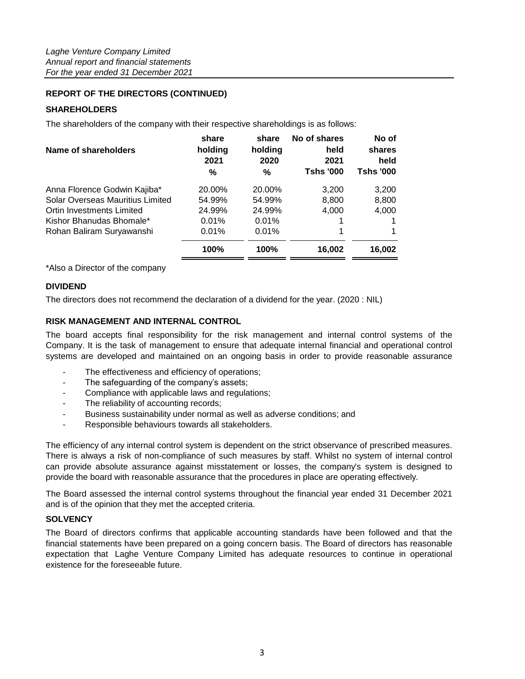# **REPORT OF THE DIRECTORS (CONTINUED)**

# **SHAREHOLDERS**

The shareholders of the company with their respective shareholdings is as follows:

| share<br>holding<br>2021<br>% | share<br>holding<br>2020<br>% | No of shares<br>held<br>2021<br><b>Tshs '000</b> | No of<br>shares<br>held<br>Tshs '000 |
|-------------------------------|-------------------------------|--------------------------------------------------|--------------------------------------|
| 20.00%                        | 20.00%                        | 3,200                                            | 3,200                                |
| 54.99%                        | 54.99%                        | 8,800                                            | 8,800                                |
| 24.99%                        | 24.99%                        | 4,000                                            | 4,000                                |
| 0.01%                         | 0.01%                         |                                                  |                                      |
| 0.01%                         | 0.01%                         |                                                  |                                      |
| 100%                          | 100%                          | 16,002                                           | 16,002                               |
|                               |                               |                                                  |                                      |

\*Also a Director of the company

# **DIVIDEND**

The directors does not recommend the declaration of a dividend for the year. (2020 : NIL)

# **RISK MANAGEMENT AND INTERNAL CONTROL**

The board accepts final responsibility for the risk management and internal control systems of the Company. It is the task of management to ensure that adequate internal financial and operational control systems are developed and maintained on an ongoing basis in order to provide reasonable assurance

- The effectiveness and efficiency of operations;
- The safeguarding of the company's assets;
- Compliance with applicable laws and regulations;
- The reliability of accounting records;
- Business sustainability under normal as well as adverse conditions; and
- Responsible behaviours towards all stakeholders.

The efficiency of any internal control system is dependent on the strict observance of prescribed measures. There is always a risk of non-compliance of such measures by staff. Whilst no system of internal control can provide absolute assurance against misstatement or losses, the company's system is designed to provide the board with reasonable assurance that the procedures in place are operating effectively.

The Board assessed the internal control systems throughout the financial year ended 31 December 2021 and is of the opinion that they met the accepted criteria.

# **SOLVENCY**

The Board of directors confirms that applicable accounting standards have been followed and that the financial statements have been prepared on a going concern basis. The Board of directors has reasonable expectation that Laghe Venture Company Limited has adequate resources to continue in operational existence for the foreseeable future.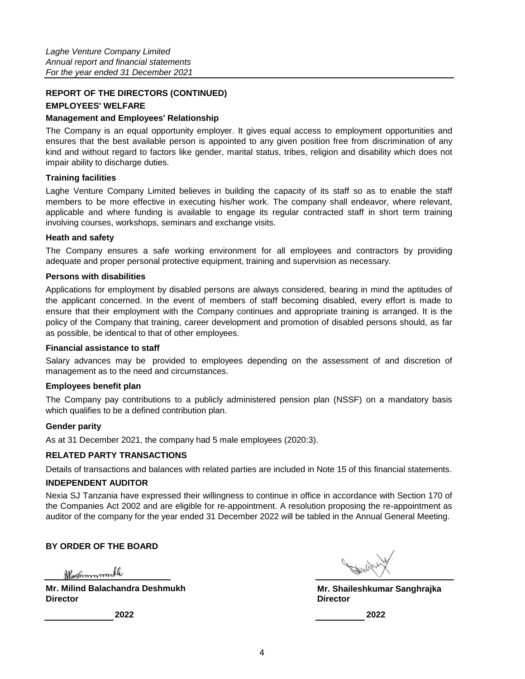# **REPORT OF THE DIRECTORS (CONTINUED)**

# **EMPLOYEES' WELFARE**

## **Management and Employees' Relationship**

The Company is an equal opportunity employer. It gives equal access to employment opportunities and ensures that the best available person is appointed to any given position free from discrimination of any kind and without regard to factors like gender, marital status, tribes, religion and disability which does not impair ability to discharge duties.

# **Training facilities**

Laghe Venture Company Limited believes in building the capacity of its staff so as to enable the staff members to be more effective in executing his/her work. The company shall endeavor, where relevant, applicable and where funding is available to engage its regular contracted staff in short term training involving courses, workshops, seminars and exchange visits.

## **Heath and safety**

The Company ensures a safe working environment for all employees and contractors by providing adequate and proper personal protective equipment, training and supervision as necessary.

# **Persons with disabilities**

Applications for employment by disabled persons are always considered, bearing in mind the aptitudes of the applicant concerned. In the event of members of staff becoming disabled, every effort is made to ensure that their employment with the Company continues and appropriate training is arranged. It is the policy of the Company that training, career development and promotion of disabled persons should, as far as possible, be identical to that of other employees.

## **Financial assistance to staff**

Salary advances may be provided to employees depending on the assessment of and discretion of management as to the need and circumstances.

# **Employees benefit plan**

The Company pay contributions to a publicly administered pension plan (NSSF) on a mandatory basis which qualifies to be a defined contribution plan.

## **Gender parity**

As at 31 December 2021, the company had 5 male employees (2020:3).

# **RELATED PARTY TRANSACTIONS**

Details of transactions and balances with related parties are included in Note 15 of this financial statements.

# **INDEPENDENT AUDITOR**

Nexia SJ Tanzania have expressed their willingness to continue in office in accordance with Section 170 of the Companies Act 2002 and are eligible for re-appointment. A resolution proposing the re-appointment as auditor of the company for the year ended 31 December 2022 will be tabled in the Annual General Meeting.

# **BY ORDER OF THE BOARD**

Neshmmmmle

**Mr. Milind Balachandra Deshmukh Director Director**

**Mr. Shaileshkumar Sanghrajka**

**2022 2022**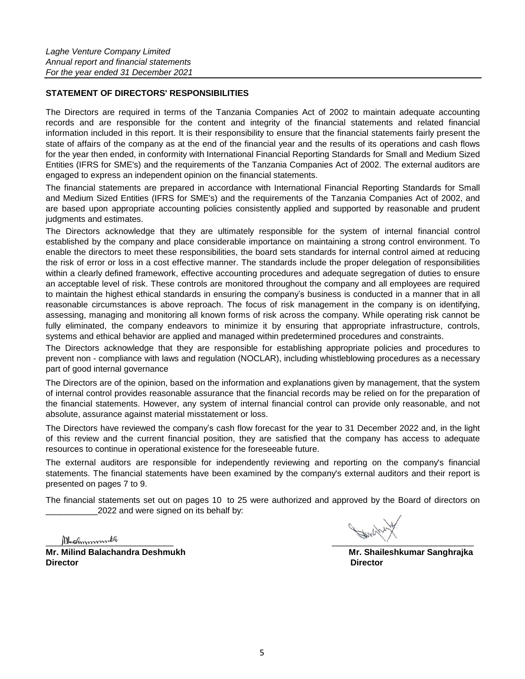# **STATEMENT OF DIRECTORS' RESPONSIBILITIES**

The Directors are required in terms of the Tanzania Companies Act of 2002 to maintain adequate accounting records and are responsible for the content and integrity of the financial statements and related financial information included in this report. It is their responsibility to ensure that the financial statements fairly present the state of affairs of the company as at the end of the financial year and the results of its operations and cash flows for the year then ended, in conformity with International Financial Reporting Standards for Small and Medium Sized Entities (IFRS for SME's) and the requirements of the Tanzania Companies Act of 2002. The external auditors are engaged to express an independent opinion on the financial statements.

The financial statements are prepared in accordance with International Financial Reporting Standards for Small and Medium Sized Entities (IFRS for SME's) and the requirements of the Tanzania Companies Act of 2002, and are based upon appropriate accounting policies consistently applied and supported by reasonable and prudent judgments and estimates.

The Directors acknowledge that they are ultimately responsible for the system of internal financial control established by the company and place considerable importance on maintaining a strong control environment. To enable the directors to meet these responsibilities, the board sets standards for internal control aimed at reducing the risk of error or loss in a cost effective manner. The standards include the proper delegation of responsibilities within a clearly defined framework, effective accounting procedures and adequate segregation of duties to ensure an acceptable level of risk. These controls are monitored throughout the company and all employees are required to maintain the highest ethical standards in ensuring the company's business is conducted in a manner that in all reasonable circumstances is above reproach. The focus of risk management in the company is on identifying, assessing, managing and monitoring all known forms of risk across the company. While operating risk cannot be fully eliminated, the company endeavors to minimize it by ensuring that appropriate infrastructure, controls, systems and ethical behavior are applied and managed within predetermined procedures and constraints.

The Directors acknowledge that they are responsible for establishing appropriate policies and procedures to prevent non - compliance with laws and regulation (NOCLAR), including whistleblowing procedures as a necessary part of good internal governance

The Directors are of the opinion, based on the information and explanations given by management, that the system of internal control provides reasonable assurance that the financial records may be relied on for the preparation of the financial statements. However, any system of internal financial control can provide only reasonable, and not absolute, assurance against material misstatement or loss.

The Directors have reviewed the company's cash flow forecast for the year to 31 December 2022 and, in the light of this review and the current financial position, they are satisfied that the company has access to adequate resources to continue in operational existence for the foreseeable future.

The external auditors are responsible for independently reviewing and reporting on the company's financial statements. The financial statements have been examined by the company's external auditors and their report is presented on pages 7 to 9.

The financial statements set out on pages 10 to 25 were authorized and approved by the Board of directors on 2022 and were signed on its behalf by:

Mechmmmbh

**Mr. Milind Balachandra Deshmukh Mr. Shaileshkumar Sanghrajka Director Director**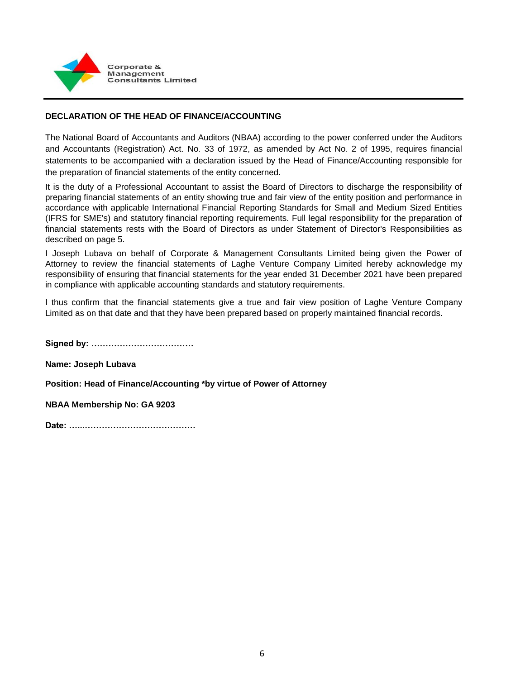

# **DECLARATION OF THE HEAD OF FINANCE/ACCOUNTING**

The National Board of Accountants and Auditors (NBAA) according to the power conferred under the Auditors and Accountants (Registration) Act. No. 33 of 1972, as amended by Act No. 2 of 1995, requires financial statements to be accompanied with a declaration issued by the Head of Finance/Accounting responsible for the preparation of financial statements of the entity concerned.

It is the duty of a Professional Accountant to assist the Board of Directors to discharge the responsibility of preparing financial statements of an entity showing true and fair view of the entity position and performance in accordance with applicable International Financial Reporting Standards for Small and Medium Sized Entities (IFRS for SME's) and statutory financial reporting requirements. Full legal responsibility for the preparation of financial statements rests with the Board of Directors as under Statement of Director's Responsibilities as described on page 5.

I Joseph Lubava on behalf of Corporate & Management Consultants Limited being given the Power of Attorney to review the financial statements of Laghe Venture Company Limited hereby acknowledge my responsibility of ensuring that financial statements for the year ended 31 December 2021 have been prepared in compliance with applicable accounting standards and statutory requirements.

I thus confirm that the financial statements give a true and fair view position of Laghe Venture Company Limited as on that date and that they have been prepared based on properly maintained financial records.

**Signed by: ………………………………**

**Name: Joseph Lubava**

**Position: Head of Finance/Accounting \*by virtue of Power of Attorney**

**NBAA Membership No: GA 9203**

```
Date: …...…………………………………
```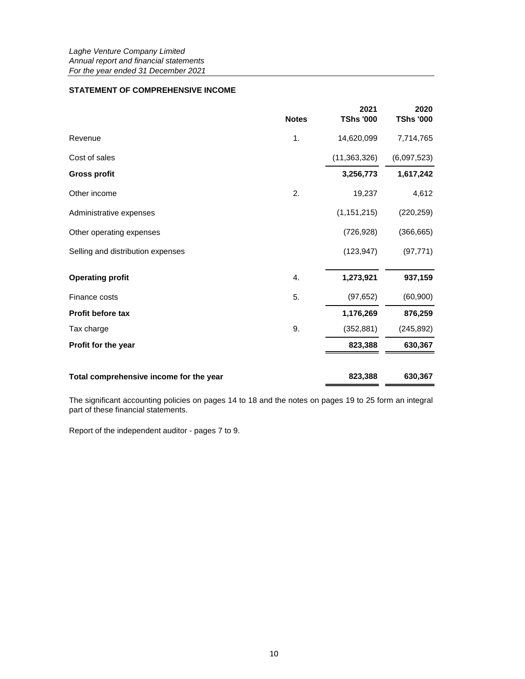# **STATEMENT OF COMPREHENSIVE INCOME**

|                                         | <b>Notes</b>  | 2021<br><b>TShs '000</b> | 2020<br><b>TShs '000</b> |
|-----------------------------------------|---------------|--------------------------|--------------------------|
| Revenue                                 | $\mathbf 1$ . | 14,620,099               | 7,714,765                |
| Cost of sales                           |               | (11,363,326)             | (6,097,523)              |
| <b>Gross profit</b>                     |               | 3,256,773                | 1,617,242                |
| Other income                            | 2.            | 19,237                   | 4,612                    |
| Administrative expenses                 |               | (1, 151, 215)            | (220, 259)               |
| Other operating expenses                |               | (726, 928)               | (366, 665)               |
| Selling and distribution expenses       |               | (123, 947)               | (97, 771)                |
| <b>Operating profit</b>                 | 4.            | 1,273,921                | 937,159                  |
| Finance costs                           | 5.            | (97, 652)                | (60, 900)                |
| Profit before tax                       |               | 1,176,269                | 876,259                  |
| Tax charge                              | 9.            | (352, 881)               | (245, 892)               |
| Profit for the year                     |               | 823,388                  | 630,367                  |
| Total comprehensive income for the year |               | 823,388                  | 630,367                  |

The significant accounting policies on pages 14 to 18 and the notes on pages 19 to 25 form an integral part of these financial statements.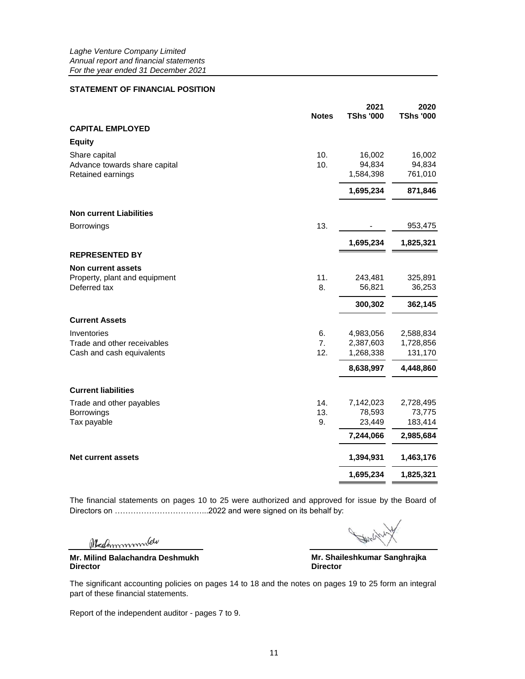## **STATEMENT OF FINANCIAL POSITION**

| <b>Notes</b>                                                                               | 2021<br><b>TShs '000</b>                   | 2020<br><b>TShs '000</b>                    |
|--------------------------------------------------------------------------------------------|--------------------------------------------|---------------------------------------------|
| <b>CAPITAL EMPLOYED</b>                                                                    |                                            |                                             |
| <b>Equity</b>                                                                              |                                            |                                             |
| 10.<br>Share capital<br>10.<br>Advance towards share capital<br>Retained earnings          | 16,002<br>94,834<br>1,584,398              | 16,002<br>94,834<br>761,010                 |
|                                                                                            | 1,695,234                                  | 871,846                                     |
| <b>Non current Liabilities</b>                                                             |                                            |                                             |
| 13.<br>Borrowings                                                                          |                                            | 953,475                                     |
|                                                                                            | 1,695,234                                  | 1,825,321                                   |
| <b>REPRESENTED BY</b>                                                                      |                                            |                                             |
| <b>Non current assets</b><br>Property, plant and equipment<br>11.<br>Deferred tax<br>8.    | 243,481<br>56,821                          | 325,891<br>36,253                           |
|                                                                                            | 300,302                                    | 362,145                                     |
| <b>Current Assets</b>                                                                      |                                            |                                             |
| 6.<br>Inventories<br>7.<br>Trade and other receivables<br>12.<br>Cash and cash equivalents | 4,983,056<br>2,387,603<br>1,268,338        | 2,588,834<br>1,728,856<br>131,170           |
|                                                                                            | 8,638,997                                  | 4,448,860                                   |
| <b>Current liabilities</b>                                                                 |                                            |                                             |
| 14.<br>Trade and other payables<br>13.<br>Borrowings<br>9.<br>Tax payable                  | 7,142,023<br>78,593<br>23,449<br>7,244,066 | 2,728,495<br>73,775<br>183,414<br>2,985,684 |
| <b>Net current assets</b>                                                                  | 1,394,931                                  | 1,463,176                                   |
|                                                                                            | 1,695,234                                  | 1,825,321                                   |

The financial statements on pages 10 to 25 were authorized and approved for issue by the Board of Directors on ……………………………...2022 and were signed on its behalf by:

Medmmmmlew

**Director Director Mr. Milind Balachandra Deshmukh**

**Mr. Shaileshkumar Sanghrajka**

The significant accounting policies on pages 14 to 18 and the notes on pages 19 to 25 form an integral part of these financial statements.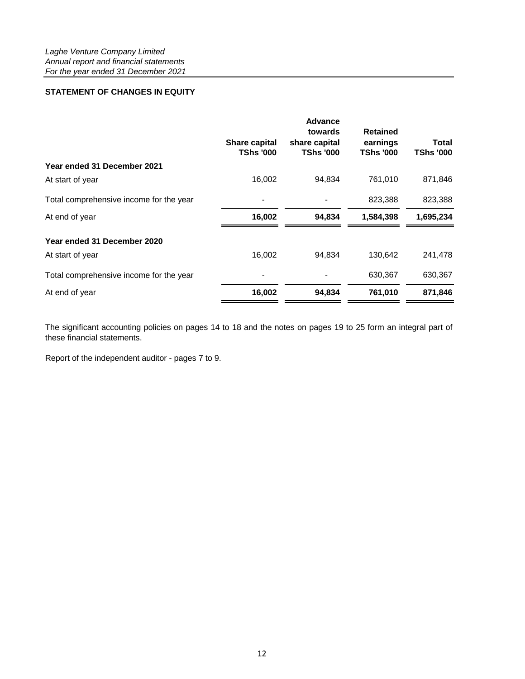# **STATEMENT OF CHANGES IN EQUITY**

|                                         | <b>Share capital</b><br><b>TShs '000</b> | <b>Advance</b><br>towards<br>share capital<br><b>TShs '000</b> | <b>Retained</b><br>earnings<br><b>TShs '000</b> | <b>Total</b><br><b>TShs '000</b> |
|-----------------------------------------|------------------------------------------|----------------------------------------------------------------|-------------------------------------------------|----------------------------------|
| Year ended 31 December 2021             |                                          |                                                                |                                                 |                                  |
| At start of year                        | 16,002                                   | 94,834                                                         | 761,010                                         | 871,846                          |
| Total comprehensive income for the year |                                          |                                                                | 823,388                                         | 823,388                          |
| At end of year                          | 16,002                                   | 94,834                                                         | 1,584,398                                       | 1,695,234                        |
| Year ended 31 December 2020             |                                          |                                                                |                                                 |                                  |
| At start of year                        | 16,002                                   | 94,834                                                         | 130,642                                         | 241,478                          |
| Total comprehensive income for the year |                                          |                                                                | 630,367                                         | 630,367                          |
| At end of year                          | 16,002                                   | 94,834                                                         | 761,010                                         | 871,846                          |

The significant accounting policies on pages 14 to 18 and the notes on pages 19 to 25 form an integral part of these financial statements.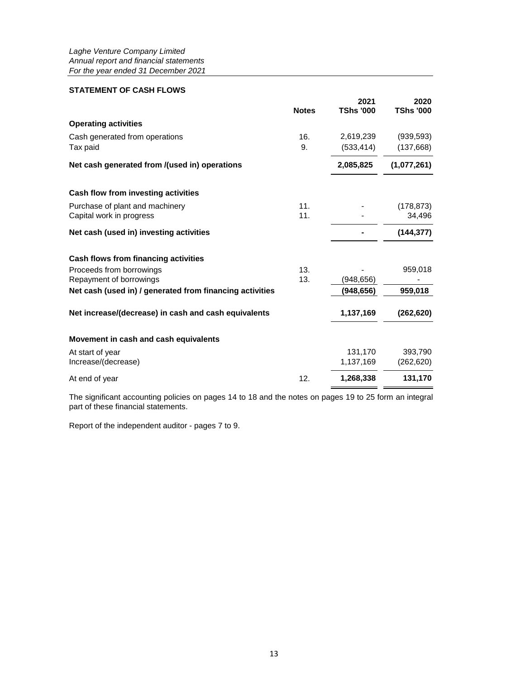# **STATEMENT OF CASH FLOWS**

|                                                          | <b>Notes</b> | 2021<br><b>TShs '000</b> | 2020<br><b>TShs '000</b> |
|----------------------------------------------------------|--------------|--------------------------|--------------------------|
| <b>Operating activities</b>                              |              |                          |                          |
| Cash generated from operations                           | 16.          | 2,619,239                | (939, 593)               |
| Tax paid                                                 | 9.           | (533, 414)               | (137, 668)               |
| Net cash generated from /(used in) operations            |              | 2,085,825                | (1,077,261)              |
| Cash flow from investing activities                      |              |                          |                          |
| Purchase of plant and machinery                          | 11.          |                          | (178, 873)               |
| Capital work in progress                                 | 11.          |                          | 34,496                   |
| Net cash (used in) investing activities                  |              |                          | (144, 377)               |
| Cash flows from financing activities                     |              |                          |                          |
| Proceeds from borrowings                                 | 13.          |                          | 959,018                  |
| Repayment of borrowings                                  | 13.          | (948,656)                |                          |
| Net cash (used in) / generated from financing activities |              | (948, 656)               | 959,018                  |
| Net increase/(decrease) in cash and cash equivalents     |              | 1,137,169                | (262, 620)               |
| Movement in cash and cash equivalents                    |              |                          |                          |
| At start of year                                         |              | 131,170                  | 393,790                  |
| Increase/(decrease)                                      |              | 1,137,169                | (262, 620)               |
| At end of year                                           | 12.          | 1,268,338                | 131,170                  |
|                                                          |              |                          |                          |

The significant accounting policies on pages 14 to 18 and the notes on pages 19 to 25 form an integral part of these financial statements.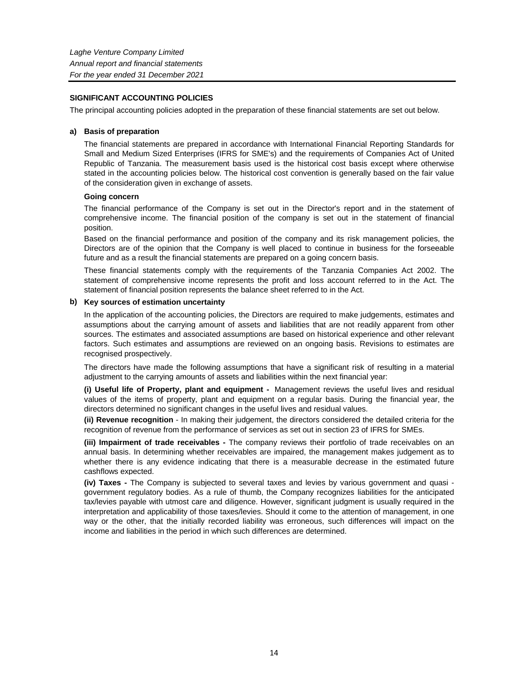## **SIGNIFICANT ACCOUNTING POLICIES**

The principal accounting policies adopted in the preparation of these financial statements are set out below.

## **a) Basis of preparation**

The financial statements are prepared in accordance with International Financial Reporting Standards for Small and Medium Sized Enterprises (IFRS for SME's) and the requirements of Companies Act of United Republic of Tanzania. The measurement basis used is the historical cost basis except where otherwise stated in the accounting policies below. The historical cost convention is generally based on the fair value of the consideration given in exchange of assets.

## **Going concern**

The financial performance of the Company is set out in the Director's report and in the statement of comprehensive income. The financial position of the company is set out in the statement of financial position.

Based on the financial performance and position of the company and its risk management policies, the Directors are of the opinion that the Company is well placed to continue in business for the forseeable future and as a result the financial statements are prepared on a going concern basis.

These financial statements comply with the requirements of the Tanzania Companies Act 2002. The statement of comprehensive income represents the profit and loss account referred to in the Act. The statement of financial position represents the balance sheet referred to in the Act.

## **b) Key sources of estimation uncertainty**

In the application of the accounting policies, the Directors are required to make judgements, estimates and assumptions about the carrying amount of assets and liabilities that are not readily apparent from other sources. The estimates and associated assumptions are based on historical experience and other relevant factors. Such estimates and assumptions are reviewed on an ongoing basis. Revisions to estimates are recognised prospectively.

The directors have made the following assumptions that have a significant risk of resulting in a material adjustment to the carrying amounts of assets and liabilities within the next financial year:

**(i) Useful life of Property, plant and equipment -** Management reviews the useful lives and residual values of the items of property, plant and equipment on a regular basis. During the financial year, the directors determined no significant changes in the useful lives and residual values.

**(ii) Revenue recognition** - In making their judgement, the directors considered the detailed criteria for the recognition of revenue from the performance of services as set out in section 23 of IFRS for SMEs.

**(iii) Impairment of trade receivables -** The company reviews their portfolio of trade receivables on an annual basis. In determining whether receivables are impaired, the management makes judgement as to whether there is any evidence indicating that there is a measurable decrease in the estimated future cashflows expected.

**(iv) Taxes -** The Company is subjected to several taxes and levies by various government and quasi government regulatory bodies. As a rule of thumb, the Company recognizes liabilities for the anticipated tax/levies payable with utmost care and diligence. However, significant judgment is usually required in the interpretation and applicability of those taxes/levies. Should it come to the attention of management, in one way or the other, that the initially recorded liability was erroneous, such differences will impact on the income and liabilities in the period in which such differences are determined.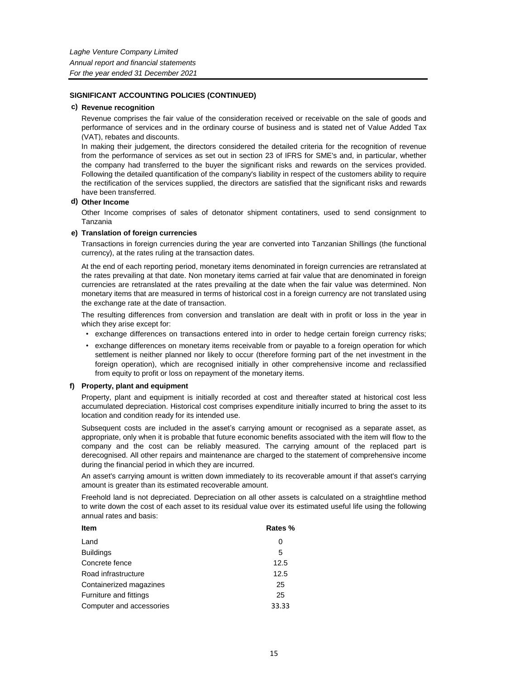#### **c) Revenue recognition**

Revenue comprises the fair value of the consideration received or receivable on the sale of goods and performance of services and in the ordinary course of business and is stated net of Value Added Tax (VAT), rebates and discounts.

In making their judgement, the directors considered the detailed criteria for the recognition of revenue from the performance of services as set out in section 23 of IFRS for SME's and, in particular, whether the company had transferred to the buyer the significant risks and rewards on the services provided. Following the detailed quantification of the company's liability in respect of the customers ability to require the rectification of the services supplied, the directors are satisfied that the significant risks and rewards have been transferred.

#### **d) Other Income**

Other Income comprises of sales of detonator shipment contatiners, used to send consignment to Tanzania

#### **e) Translation of foreign currencies**

Transactions in foreign currencies during the year are converted into Tanzanian Shillings (the functional currency), at the rates ruling at the transaction dates.

At the end of each reporting period, monetary items denominated in foreign currencies are retranslated at the rates prevailing at that date. Non monetary items carried at fair value that are denominated in foreign currencies are retranslated at the rates prevailing at the date when the fair value was determined. Non monetary items that are measured in terms of historical cost in a foreign currency are not translated using the exchange rate at the date of transaction.

The resulting differences from conversion and translation are dealt with in profit or loss in the year in which they arise except for:

- exchange differences on transactions entered into in order to hedge certain foreign currency risks;
- exchange differences on monetary items receivable from or payable to a foreign operation for which settlement is neither planned nor likely to occur (therefore forming part of the net investment in the foreign operation), which are recognised initially in other comprehensive income and reclassified from equity to profit or loss on repayment of the monetary items.

#### **f) Property, plant and equipment**

Property, plant and equipment is initially recorded at cost and thereafter stated at historical cost less accumulated depreciation. Historical cost comprises expenditure initially incurred to bring the asset to its location and condition ready for its intended use.

Subsequent costs are included in the asset's carrying amount or recognised as a separate asset, as appropriate, only when it is probable that future economic benefits associated with the item will flow to the company and the cost can be reliably measured. The carrying amount of the replaced part is derecognised. All other repairs and maintenance are charged to the statement of comprehensive income during the financial period in which they are incurred.

An asset's carrying amount is written down immediately to its recoverable amount if that asset's carrying amount is greater than its estimated recoverable amount.

Freehold land is not depreciated. Depreciation on all other assets is calculated on a straightline method to write down the cost of each asset to its residual value over its estimated useful life using the following annual rates and basis:

| <b>Item</b>              | Rates % |
|--------------------------|---------|
| Land                     | 0       |
| <b>Buildings</b>         | 5       |
| Concrete fence           | 12.5    |
| Road infrastructure      | 12.5    |
| Containerized magazines  | 25      |
| Furniture and fittings   | 25      |
| Computer and accessories | 33.33   |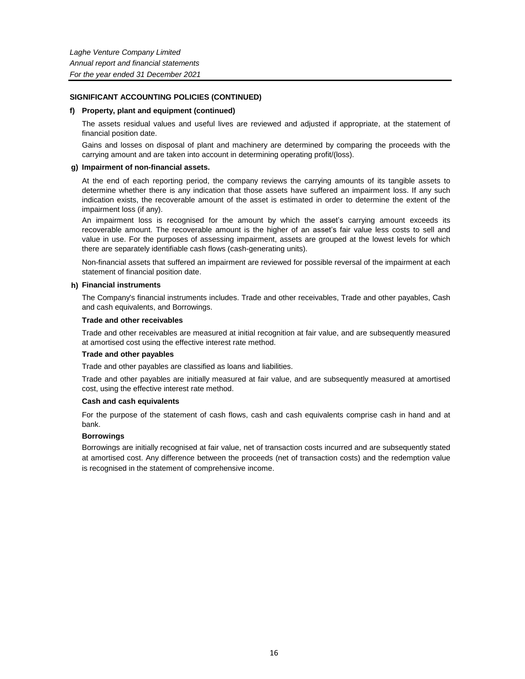#### **f) Property, plant and equipment (continued)**

The assets residual values and useful lives are reviewed and adjusted if appropriate, at the statement of financial position date.

Gains and losses on disposal of plant and machinery are determined by comparing the proceeds with the carrying amount and are taken into account in determining operating profit/(loss).

#### **g) Impairment of non-financial assets.**

At the end of each reporting period, the company reviews the carrying amounts of its tangible assets to determine whether there is any indication that those assets have suffered an impairment loss. If any such indication exists, the recoverable amount of the asset is estimated in order to determine the extent of the impairment loss (if any).

An impairment loss is recognised for the amount by which the asset's carrying amount exceeds its recoverable amount. The recoverable amount is the higher of an asset's fair value less costs to sell and value in use. For the purposes of assessing impairment, assets are grouped at the lowest levels for which there are separately identifiable cash flows (cash-generating units).

Non-financial assets that suffered an impairment are reviewed for possible reversal of the impairment at each statement of financial position date.

#### **h) Financial instruments**

The Company's financial instruments includes. Trade and other receivables, Trade and other payables, Cash and cash equivalents, and Borrowings.

#### **Trade and other receivables**

Trade and other receivables are measured at initial recognition at fair value, and are subsequently measured at amortised cost using the effective interest rate method.

## **Trade and other payables**

Trade and other payables are classified as loans and liabilities.

Trade and other payables are initially measured at fair value, and are subsequently measured at amortised cost, using the effective interest rate method.

## **Cash and cash equivalents**

For the purpose of the statement of cash flows, cash and cash equivalents comprise cash in hand and at bank.

## **Borrowings**

Borrowings are initially recognised at fair value, net of transaction costs incurred and are subsequently stated at amortised cost. Any difference between the proceeds (net of transaction costs) and the redemption value is recognised in the statement of comprehensive income.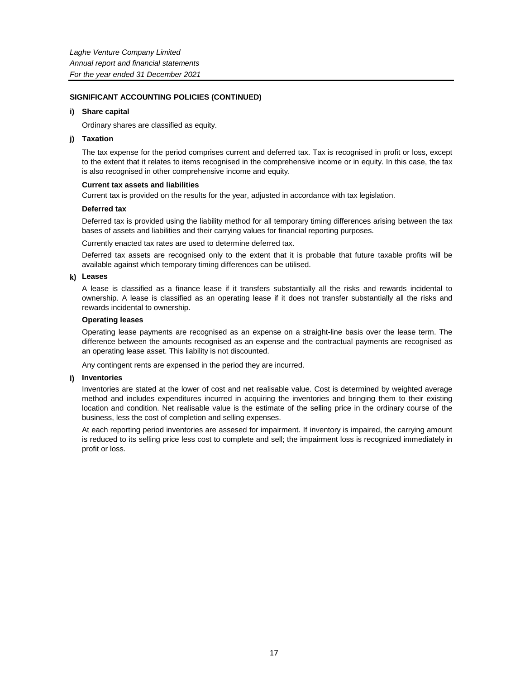#### **i) Share capital**

Ordinary shares are classified as equity.

#### **j) Taxation**

The tax expense for the period comprises current and deferred tax. Tax is recognised in profit or loss, except to the extent that it relates to items recognised in the comprehensive income or in equity. In this case, the tax is also recognised in other comprehensive income and equity.

#### **Current tax assets and liabilities**

Current tax is provided on the results for the year, adjusted in accordance with tax legislation.

## **Deferred tax**

Deferred tax is provided using the liability method for all temporary timing differences arising between the tax bases of assets and liabilities and their carrying values for financial reporting purposes.

Currently enacted tax rates are used to determine deferred tax.

Deferred tax assets are recognised only to the extent that it is probable that future taxable profits will be available against which temporary timing differences can be utilised.

#### **k) Leases**

A lease is classified as a finance lease if it transfers substantially all the risks and rewards incidental to ownership. A lease is classified as an operating lease if it does not transfer substantially all the risks and rewards incidental to ownership.

#### **Operating leases**

Operating lease payments are recognised as an expense on a straight-line basis over the lease term. The difference between the amounts recognised as an expense and the contractual payments are recognised as an operating lease asset. This liability is not discounted.

Any contingent rents are expensed in the period they are incurred.

#### **l) Inventories**

Inventories are stated at the lower of cost and net realisable value. Cost is determined by weighted average method and includes expenditures incurred in acquiring the inventories and bringing them to their existing location and condition. Net realisable value is the estimate of the selling price in the ordinary course of the business, less the cost of completion and selling expenses.

At each reporting period inventories are assesed for impairment. If inventory is impaired, the carrying amount is reduced to its selling price less cost to complete and sell; the impairment loss is recognized immediately in profit or loss.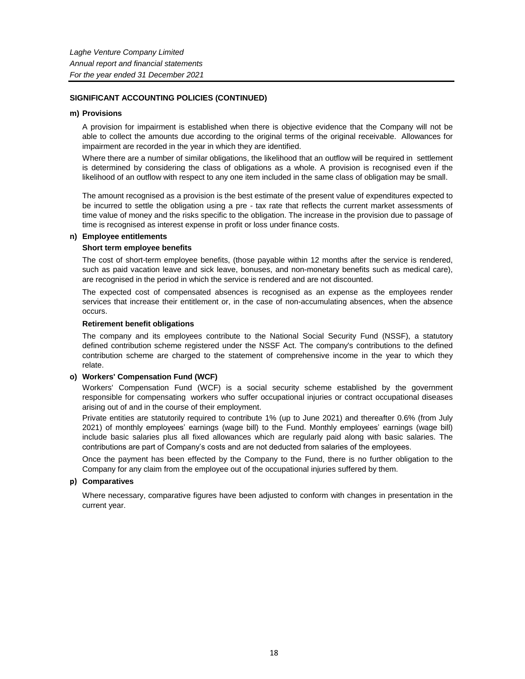#### **m) Provisions**

A provision for impairment is established when there is objective evidence that the Company will not be able to collect the amounts due according to the original terms of the original receivable. Allowances for impairment are recorded in the year in which they are identified.

Where there are a number of similar obligations, the likelihood that an outflow will be required in settlement is determined by considering the class of obligations as a whole. A provision is recognised even if the likelihood of an outflow with respect to any one item included in the same class of obligation may be small.

The amount recognised as a provision is the best estimate of the present value of expenditures expected to be incurred to settle the obligation using a pre - tax rate that reflects the current market assessments of time value of money and the risks specific to the obligation. The increase in the provision due to passage of time is recognised as interest expense in profit or loss under finance costs.

#### **n) Employee entitlements**

## **Short term employee benefits**

The cost of short-term employee benefits, (those payable within 12 months after the service is rendered, such as paid vacation leave and sick leave, bonuses, and non-monetary benefits such as medical care), are recognised in the period in which the service is rendered and are not discounted.

The expected cost of compensated absences is recognised as an expense as the employees render services that increase their entitlement or, in the case of non-accumulating absences, when the absence occurs.

#### **Retirement benefit obligations**

The company and its employees contribute to the National Social Security Fund (NSSF), a statutory defined contribution scheme registered under the NSSF Act. The company's contributions to the defined contribution scheme are charged to the statement of comprehensive income in the year to which they relate.

## **o) Workers' Compensation Fund (WCF)**

Workers' Compensation Fund (WCF) is a social security scheme established by the government responsible for compensating workers who suffer occupational injuries or contract occupational diseases arising out of and in the course of their employment.

Private entities are statutorily required to contribute 1% (up to June 2021) and thereafter 0.6% (from July 2021) of monthly employees' earnings (wage bill) to the Fund. Monthly employees' earnings (wage bill) include basic salaries plus all fixed allowances which are regularly paid along with basic salaries. The contributions are part of Company's costs and are not deducted from salaries of the employees.

Once the payment has been effected by the Company to the Fund, there is no further obligation to the Company for any claim from the employee out of the occupational injuries suffered by them.

## **p) Comparatives**

Where necessary, comparative figures have been adjusted to conform with changes in presentation in the current year.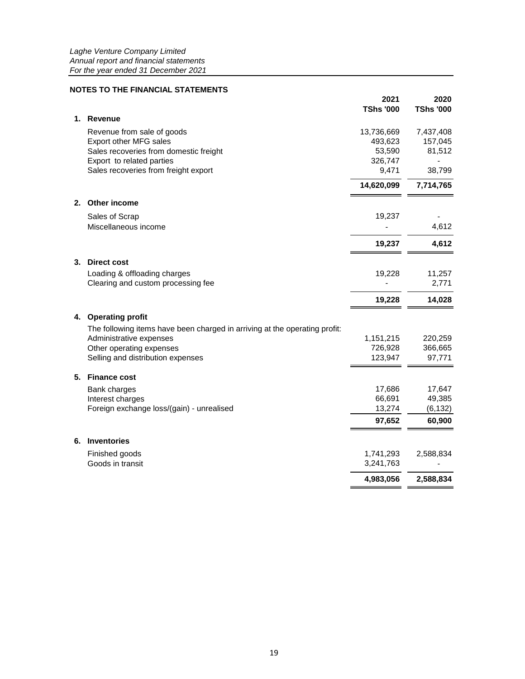# **NOTES TO THE FINANCIAL STATEMENTS**

|    |                                                                            | 2021<br><b>TShs '000</b> | 2020<br><b>TShs '000</b> |
|----|----------------------------------------------------------------------------|--------------------------|--------------------------|
| 1. | <b>Revenue</b>                                                             |                          |                          |
|    | Revenue from sale of goods                                                 | 13,736,669               | 7,437,408                |
|    | Export other MFG sales                                                     | 493,623                  | 157,045                  |
|    | Sales recoveries from domestic freight                                     | 53,590                   | 81,512                   |
|    | Export to related parties                                                  | 326,747                  |                          |
|    | Sales recoveries from freight export                                       | 9,471                    | 38,799                   |
|    |                                                                            | 14,620,099               | 7,714,765                |
|    | 2. Other income                                                            |                          |                          |
|    | Sales of Scrap                                                             | 19,237                   |                          |
|    | Miscellaneous income                                                       |                          | 4,612                    |
|    |                                                                            | 19,237                   | 4,612                    |
|    | 3. Direct cost                                                             |                          |                          |
|    | Loading & offloading charges                                               | 19,228                   | 11,257                   |
|    | Clearing and custom processing fee                                         |                          | 2,771                    |
|    |                                                                            | 19,228                   | 14,028                   |
|    | 4. Operating profit                                                        |                          |                          |
|    | The following items have been charged in arriving at the operating profit: |                          |                          |
|    | Administrative expenses                                                    | 1,151,215                | 220,259                  |
|    | Other operating expenses                                                   | 726,928                  | 366,665                  |
|    | Selling and distribution expenses                                          | 123,947                  | 97,771                   |
|    | 5. Finance cost                                                            |                          |                          |
|    | Bank charges                                                               | 17,686                   | 17,647                   |
|    | Interest charges                                                           | 66,691                   | 49,385                   |
|    | Foreign exchange loss/(gain) - unrealised                                  | 13,274                   | (6, 132)                 |
|    |                                                                            | 97,652                   | 60,900                   |
| 6. | <b>Inventories</b>                                                         |                          |                          |
|    | Finished goods                                                             | 1,741,293                | 2,588,834                |
|    | Goods in transit                                                           | 3,241,763                |                          |
|    |                                                                            | 4,983,056                | 2,588,834                |
|    |                                                                            |                          |                          |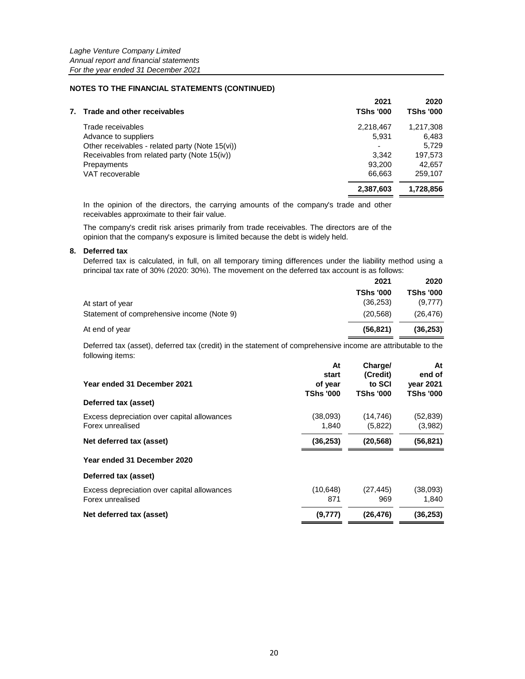|                                                 | <b>TShs '000</b>         |                  |
|-------------------------------------------------|--------------------------|------------------|
| Trade and other receivables<br>7.               |                          | <b>TShs '000</b> |
| Trade receivables                               | 2,218,467                | 1,217,308        |
| Advance to suppliers                            | 5.931                    | 6.483            |
| Other receivables - related party (Note 15(vi)) | $\overline{\phantom{0}}$ | 5.729            |
| Receivables from related party (Note 15(iv))    | 3.342                    | 197,573          |
| Prepayments                                     | 93.200                   | 42.657           |
| VAT recoverable                                 | 66.663                   | 259.107          |
|                                                 | 2,387,603                | 1,728,856        |

In the opinion of the directors, the carrying amounts of the company's trade and other receivables approximate to their fair value.

The company's credit risk arises primarily from trade receivables. The directors are of the opinion that the company's exposure is limited because the debt is widely held.

#### **8. Deferred tax**

Deferred tax is calculated, in full, on all temporary timing differences under the liability method using a principal tax rate of 30% (2020: 30%). The movement on the deferred tax account is as follows:

|                                            | 2021             | 2020             |
|--------------------------------------------|------------------|------------------|
|                                            | <b>TShs '000</b> | <b>TShs '000</b> |
| At start of year                           | (36.253)         | (9,777)          |
| Statement of comprehensive income (Note 9) | (20.568)         | (26, 476)        |
| At end of year                             | (56.821)         | (36, 253)        |

Deferred tax (asset), deferred tax (credit) in the statement of comprehensive income are attributable to the following items:

|                                                                 | At                                   | Charge/                                | At                                             |
|-----------------------------------------------------------------|--------------------------------------|----------------------------------------|------------------------------------------------|
| Year ended 31 December 2021                                     | start<br>of year<br><b>TShs '000</b> | (Credit)<br>to SCI<br><b>TShs '000</b> | end of<br><b>vear 2021</b><br><b>TShs '000</b> |
| Deferred tax (asset)                                            |                                      |                                        |                                                |
| Excess depreciation over capital allowances<br>Forex unrealised | (38,093)<br>1,840                    | (14, 746)<br>(5,822)                   | (52, 839)<br>(3,982)                           |
| Net deferred tax (asset)                                        | (36, 253)                            | (20, 568)                              | (56, 821)                                      |
| Year ended 31 December 2020                                     |                                      |                                        |                                                |
| Deferred tax (asset)                                            |                                      |                                        |                                                |
| Excess depreciation over capital allowances<br>Forex unrealised | (10, 648)<br>871                     | (27, 445)<br>969                       | (38,093)<br>1,840                              |
| Net deferred tax (asset)                                        | (9, 777)                             | (26, 476)                              | (36, 253)                                      |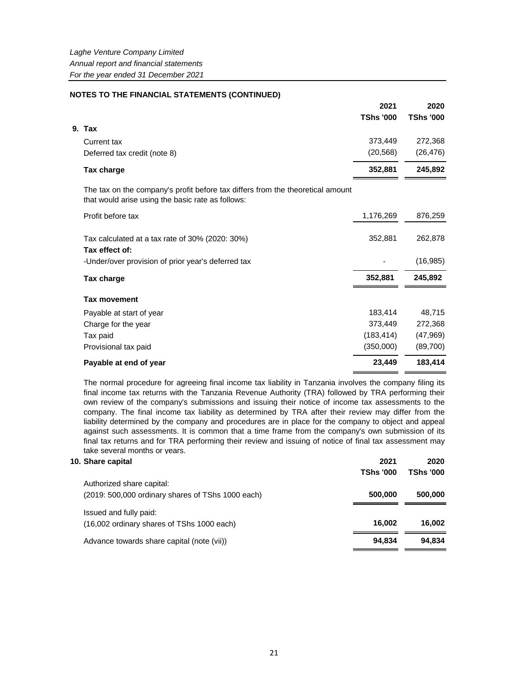|                                                                                                                                     | 2021             | 2020             |
|-------------------------------------------------------------------------------------------------------------------------------------|------------------|------------------|
|                                                                                                                                     | <b>TShs '000</b> | <b>TShs '000</b> |
| 9. Tax                                                                                                                              |                  |                  |
| <b>Current tax</b>                                                                                                                  | 373,449          | 272,368          |
| Deferred tax credit (note 8)                                                                                                        | (20, 568)        | (26, 476)        |
| Tax charge                                                                                                                          | 352,881          | 245,892          |
| The tax on the company's profit before tax differs from the theoretical amount<br>that would arise using the basic rate as follows: |                  |                  |
| Profit before tax                                                                                                                   | 1,176,269        | 876,259          |
| Tax calculated at a tax rate of 30% (2020: 30%)<br>Tax effect of:                                                                   | 352,881          | 262,878          |
| -Under/over provision of prior year's deferred tax                                                                                  |                  | (16, 985)        |
| Tax charge                                                                                                                          | 352,881          | 245.892          |
| <b>Tax movement</b>                                                                                                                 |                  |                  |
| Payable at start of year                                                                                                            | 183,414          | 48,715           |
| Charge for the year                                                                                                                 | 373,449          | 272,368          |
| Tax paid                                                                                                                            | (183, 414)       | (47,969)         |
| Provisional tax paid                                                                                                                | (350,000)        | (89,700)         |
| Payable at end of year                                                                                                              | 23,449           | 183,414          |

The normal procedure for agreeing final income tax liability in Tanzania involves the company filing its final income tax returns with the Tanzania Revenue Authority (TRA) followed by TRA performing their own review of the company's submissions and issuing their notice of income tax assessments to the company. The final income tax liability as determined by TRA after their review may differ from the liability determined by the company and procedures are in place for the company to object and appeal against such assessments. It is common that a time frame from the company's own submission of its final tax returns and for TRA performing their review and issuing of notice of final tax assessment may take several months or years.

#### **10. Share capital 2021 2020**

|                                                   | <b>TShs '000</b> | <b>TShs '000</b> |
|---------------------------------------------------|------------------|------------------|
| Authorized share capital:                         |                  |                  |
| (2019: 500,000 ordinary shares of TShs 1000 each) | 500.000          | 500,000          |
| Issued and fully paid:                            |                  |                  |
| (16,002 ordinary shares of TShs 1000 each)        | 16.002           | 16.002           |
| Advance towards share capital (note (vii))        | 94.834           | 94.834           |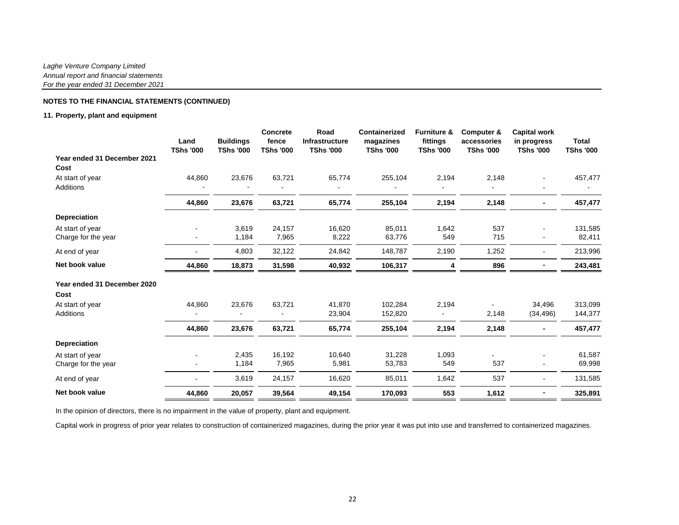## **11. Property, plant and equipment**

|                                         | Land<br><b>TShs '000</b> | <b>Buildings</b><br><b>TShs '000</b> | <b>Concrete</b><br>fence<br><b>TShs '000</b> | Road<br><b>Infrastructure</b><br><b>TShs '000</b> | <b>Containerized</b><br>magazines<br><b>TShs '000</b> | <b>Furniture &amp;</b><br>fittings<br><b>TShs '000</b> | Computer &<br>accessories<br><b>TShs '000</b> | <b>Capital work</b><br>in progress<br><b>TShs '000</b> | <b>Total</b><br><b>TShs '000</b> |
|-----------------------------------------|--------------------------|--------------------------------------|----------------------------------------------|---------------------------------------------------|-------------------------------------------------------|--------------------------------------------------------|-----------------------------------------------|--------------------------------------------------------|----------------------------------|
| Year ended 31 December 2021             |                          |                                      |                                              |                                                   |                                                       |                                                        |                                               |                                                        |                                  |
| Cost                                    |                          |                                      |                                              |                                                   |                                                       |                                                        |                                               |                                                        |                                  |
| At start of year<br><b>Additions</b>    | 44,860                   | 23,676                               | 63,721                                       | 65,774                                            | 255,104                                               | 2,194                                                  | 2,148                                         |                                                        | 457,477                          |
|                                         | 44,860                   | 23,676                               | 63,721                                       | 65,774                                            | 255,104                                               | 2,194                                                  | 2,148                                         |                                                        | 457,477                          |
| <b>Depreciation</b>                     |                          |                                      |                                              |                                                   |                                                       |                                                        |                                               |                                                        |                                  |
| At start of year<br>Charge for the year |                          | 3,619<br>1,184                       | 24,157<br>7,965                              | 16,620<br>8,222                                   | 85,011<br>63,776                                      | 1,642<br>549                                           | 537<br>715                                    |                                                        | 131,585<br>82,411                |
| At end of year                          |                          | 4,803                                | 32,122                                       | 24,842                                            | 148,787                                               | 2,190                                                  | 1,252                                         |                                                        | 213,996                          |
| Net book value                          | 44,860                   | 18,873                               | 31,598                                       | 40,932                                            | 106,317                                               | 4                                                      | 896                                           |                                                        | 243,481                          |
| Year ended 31 December 2020             |                          |                                      |                                              |                                                   |                                                       |                                                        |                                               |                                                        |                                  |
| Cost                                    |                          |                                      |                                              |                                                   |                                                       |                                                        |                                               |                                                        |                                  |
| At start of year                        | 44,860                   | 23,676                               | 63,721                                       | 41,870                                            | 102,284                                               | 2,194                                                  |                                               | 34.496                                                 | 313,099                          |
| <b>Additions</b>                        |                          |                                      |                                              | 23,904                                            | 152,820                                               |                                                        | 2,148                                         | (34, 496)                                              | 144,377                          |
|                                         | 44,860                   | 23,676                               | 63,721                                       | 65,774                                            | 255,104                                               | 2,194                                                  | 2,148                                         |                                                        | 457,477                          |
| <b>Depreciation</b>                     |                          |                                      |                                              |                                                   |                                                       |                                                        |                                               |                                                        |                                  |
| At start of year<br>Charge for the year |                          | 2,435<br>1,184                       | 16,192<br>7,965                              | 10,640<br>5,981                                   | 31,228<br>53,783                                      | 1,093<br>549                                           | 537                                           |                                                        | 61,587<br>69,998                 |
| At end of year                          |                          | 3,619                                | 24,157                                       | 16,620                                            | 85,011                                                | 1,642                                                  | 537                                           |                                                        | 131,585                          |
| Net book value                          | 44,860                   | 20,057                               | 39,564                                       | 49,154                                            | 170,093                                               | 553                                                    | 1,612                                         |                                                        | 325,891                          |

In the opinion of directors, there is no impairment in the value of property, plant and equipment.

Capital work in progress of prior year relates to construction of containerized magazines, during the prior year it was put into use and transferred to containerized magazines.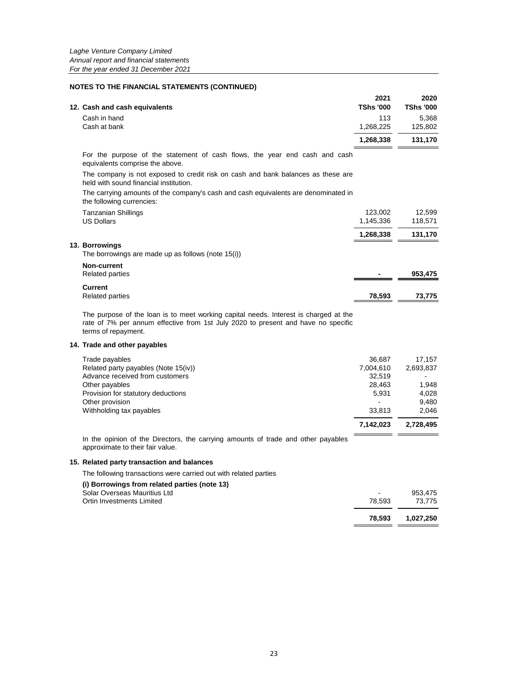|                               | 2021             | 2020             |
|-------------------------------|------------------|------------------|
| 12. Cash and cash equivalents | <b>TShs '000</b> | <b>TShs '000</b> |
| Cash in hand                  | 113              | 5.368            |
| Cash at bank                  | 1.268.225        | 125.802          |
|                               | 1.268.338        | 131.170          |

For the purpose of the statement of cash flows, the year end cash and cash equivalents comprise the above.

The company is not exposed to credit risk on cash and bank balances as these are held with sound financial institution.

The carrying amounts of the company's cash and cash equivalents are denominated in the following currencies:

| <b>Tanzanian Shillings</b><br><b>US Dollars</b>                      | 123,002<br>1,145,336 | 12,599<br>118,571 |
|----------------------------------------------------------------------|----------------------|-------------------|
|                                                                      | 1,268,338            | 131,170           |
| 13. Borrowings<br>The borrowings are made up as follows (note 15(i)) |                      |                   |
| Non-current<br><b>Related parties</b>                                | $\blacksquare$       | 953,475           |
| Current<br><b>Related parties</b>                                    | 78,593               | 73.775            |

The purpose of the loan is to meet working capital needs. Interest is charged at the rate of 7% per annum effective from 1st July 2020 to present and have no specific terms of repayment.

#### **14. Trade and other payables**

| Trade payables                       | 36.687    | 17.157    |
|--------------------------------------|-----------|-----------|
| Related party payables (Note 15(iv)) | 7,004,610 | 2,693,837 |
| Advance received from customers      | 32.519    |           |
| Other payables                       | 28.463    | 1.948     |
| Provision for statutory deductions   | 5.931     | 4.028     |
| Other provision                      |           | 9.480     |
| Withholding tax payables             | 33.813    | 2.046     |
|                                      | 7.142.023 | 2.728.495 |

In the opinion of the Directors, the carrying amounts of trade and other payables approximate to their fair value.

#### **15. Related party transaction and balances**

The following transactions were carried out with related parties

# **(i) Borrowings from related parties (note 13)** Solar Overseas Mauritius Ltd - 953,475 Ortin Investments Limited **78,593 1,027,250**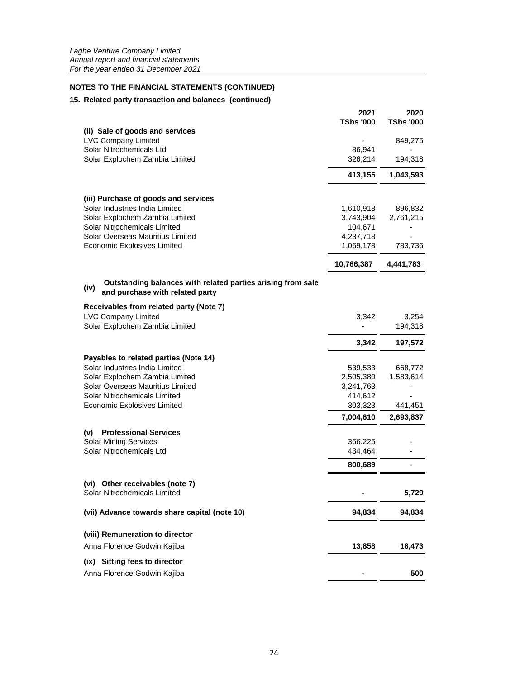# **15. Related party transaction and balances (continued)**

|                                                                                                        | 2021<br><b>TShs '000</b> | 2020<br><b>TShs '000</b> |
|--------------------------------------------------------------------------------------------------------|--------------------------|--------------------------|
| (ii) Sale of goods and services                                                                        |                          |                          |
| <b>LVC Company Limited</b><br>Solar Nitrochemicals Ltd                                                 | 86,941                   | 849,275                  |
| Solar Explochem Zambia Limited                                                                         | 326,214                  | 194,318                  |
|                                                                                                        | 413,155                  | 1,043,593                |
| (iii) Purchase of goods and services                                                                   |                          |                          |
| Solar Industries India Limited                                                                         | 1,610,918                | 896,832                  |
| Solar Explochem Zambia Limited                                                                         | 3,743,904                | 2,761,215                |
| Solar Nitrochemicals Limited                                                                           | 104,671                  |                          |
| Solar Overseas Mauritius Limited                                                                       | 4,237,718                |                          |
| <b>Economic Explosives Limited</b>                                                                     | 1,069,178                | 783,736                  |
|                                                                                                        | 10,766,387               | 4,441,783                |
| Outstanding balances with related parties arising from sale<br>(iv)<br>and purchase with related party |                          |                          |
| Receivables from related party (Note 7)                                                                |                          |                          |
| <b>LVC Company Limited</b>                                                                             | 3,342                    | 3,254                    |
| Solar Explochem Zambia Limited                                                                         |                          | 194,318                  |
|                                                                                                        | 3,342                    | 197,572                  |
| Payables to related parties (Note 14)                                                                  |                          |                          |
| Solar Industries India Limited                                                                         | 539,533                  | 668,772                  |
| Solar Explochem Zambia Limited                                                                         | 2,505,380                | 1,583,614                |
| Solar Overseas Mauritius Limited                                                                       | 3,241,763                |                          |
| Solar Nitrochemicals Limited<br><b>Economic Explosives Limited</b>                                     | 414,612<br>303,323       | 441,451                  |
|                                                                                                        | 7,004,610                | 2,693,837                |
| <b>Professional Services</b><br>(v)                                                                    |                          |                          |
| <b>Solar Mining Services</b>                                                                           | 366,225                  |                          |
| Solar Nitrochemicals Ltd                                                                               | 434,464                  |                          |
|                                                                                                        | 800,689                  |                          |
| (vi) Other receivables (note 7)                                                                        |                          |                          |
| Solar Nitrochemicals Limited                                                                           |                          | 5,729                    |
| (vii) Advance towards share capital (note 10)                                                          | 94,834                   | 94,834                   |
| (viii) Remuneration to director                                                                        |                          |                          |
| Anna Florence Godwin Kajiba                                                                            | 13,858                   | 18,473                   |
| <b>Sitting fees to director</b><br>(ix)                                                                |                          |                          |
| Anna Florence Godwin Kajiba                                                                            |                          | 500                      |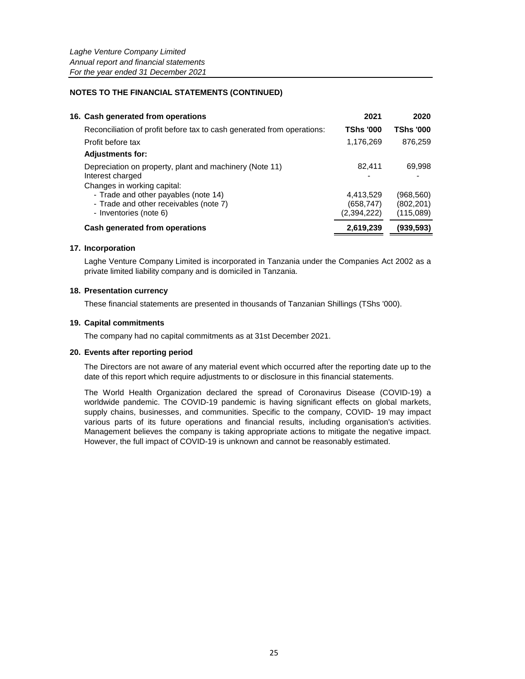| 2021                                                                                                                                                                                                                                                                                                                                                 | 2020                    |
|------------------------------------------------------------------------------------------------------------------------------------------------------------------------------------------------------------------------------------------------------------------------------------------------------------------------------------------------------|-------------------------|
| <b>TShs '000</b>                                                                                                                                                                                                                                                                                                                                     | <b>TShs '000</b>        |
| 1,176,269                                                                                                                                                                                                                                                                                                                                            | 876,259                 |
|                                                                                                                                                                                                                                                                                                                                                      |                         |
| 82.411                                                                                                                                                                                                                                                                                                                                               | 69,998                  |
|                                                                                                                                                                                                                                                                                                                                                      |                         |
|                                                                                                                                                                                                                                                                                                                                                      | (968,560)<br>(802, 201) |
| (2,394,222)                                                                                                                                                                                                                                                                                                                                          | (115,089)               |
| 2,619,239                                                                                                                                                                                                                                                                                                                                            | (939,593)               |
| 16. Cash generated from operations<br>Reconciliation of profit before tax to cash generated from operations:<br>Depreciation on property, plant and machinery (Note 11)<br>Changes in working capital:<br>- Trade and other payables (note 14)<br>- Trade and other receivables (note 7)<br>- Inventories (note 6)<br>Cash generated from operations | 4,413,529<br>(658, 747) |

## **17. Incorporation**

Laghe Venture Company Limited is incorporated in Tanzania under the Companies Act 2002 as a private limited liability company and is domiciled in Tanzania.

## **18. Presentation currency**

These financial statements are presented in thousands of Tanzanian Shillings (TShs '000).

## **19. Capital commitments**

The company had no capital commitments as at 31st December 2021.

## **20. Events after reporting period**

The Directors are not aware of any material event which occurred after the reporting date up to the date of this report which require adjustments to or disclosure in this financial statements.

The World Health Organization declared the spread of Coronavirus Disease (COVID-19) a worldwide pandemic. The COVID-19 pandemic is having significant effects on global markets, supply chains, businesses, and communities. Specific to the company, COVID- 19 may impact various parts of its future operations and financial results, including organisation's activities. Management believes the company is taking appropriate actions to mitigate the negative impact. However, the full impact of COVID-19 is unknown and cannot be reasonably estimated.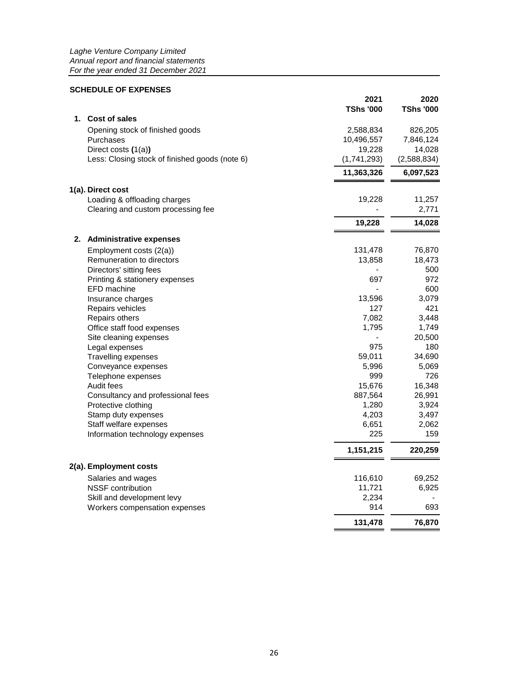# **SCHEDULE OF EXPENSES**

|                                                | 2021<br><b>TShs '000</b> | 2020<br><b>TShs '000</b> |
|------------------------------------------------|--------------------------|--------------------------|
| 1. Cost of sales                               |                          |                          |
| Opening stock of finished goods                | 2,588,834                | 826,205                  |
| Purchases                                      | 10,496,557               | 7,846,124                |
| Direct costs (1(a))                            | 19,228                   | 14,028                   |
| Less: Closing stock of finished goods (note 6) | (1,741,293)              | (2,588,834)              |
|                                                | 11,363,326               | 6,097,523                |
| 1(a). Direct cost                              |                          |                          |
| Loading & offloading charges                   | 19,228                   | 11,257                   |
| Clearing and custom processing fee             |                          | 2,771                    |
|                                                | 19,228                   | 14,028                   |
| 2. Administrative expenses                     |                          |                          |
| Employment costs (2(a))                        | 131,478                  | 76,870                   |
| Remuneration to directors                      | 13,858                   | 18,473                   |
| Directors' sitting fees                        |                          | 500                      |
| Printing & stationery expenses                 | 697                      | 972                      |
| EFD machine                                    |                          | 600                      |
| Insurance charges                              | 13,596                   | 3,079                    |
| Repairs vehicles                               | 127                      | 421                      |
| Repairs others                                 | 7,082                    | 3,448                    |
| Office staff food expenses                     | 1,795                    | 1,749                    |
| Site cleaning expenses                         |                          | 20,500                   |
| Legal expenses                                 | 975                      | 180                      |
| <b>Travelling expenses</b>                     | 59,011                   | 34,690                   |
| Conveyance expenses                            | 5,996                    | 5,069                    |
| Telephone expenses                             | 999                      | 726                      |
| Audit fees                                     | 15,676                   | 16,348                   |
| Consultancy and professional fees              | 887,564                  | 26,991                   |
| Protective clothing                            | 1,280                    | 3,924                    |
| Stamp duty expenses                            | 4,203                    | 3,497                    |
| Staff welfare expenses                         | 6,651                    | 2,062                    |
| Information technology expenses                | 225                      | 159                      |
|                                                | 1,151,215                | 220,259                  |
| 2(a). Employment costs                         |                          |                          |
| Salaries and wages                             | 116,610                  | 69,252                   |
| <b>NSSF</b> contribution                       | 11,721                   | 6,925                    |
| Skill and development levy                     | 2,234                    |                          |
| Workers compensation expenses                  | 914                      | 693                      |
|                                                | 131,478                  | 76,870                   |